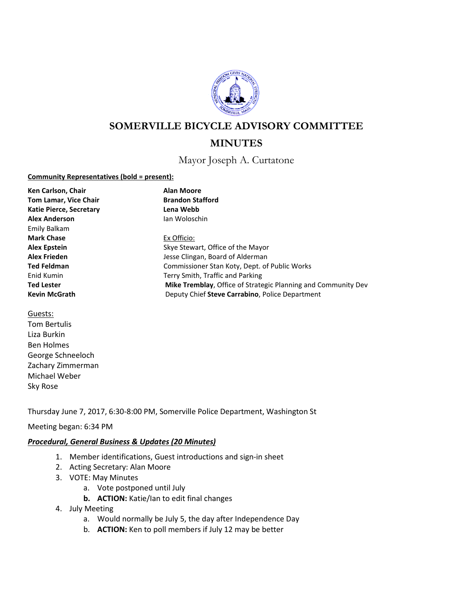

# **SOMERVILLE BICYCLE ADVISORY COMMITTEE**

# **MINUTES**

Mayor Joseph A. Curtatone

#### **Community Representatives (bold = present):**

| Ken Carlson, Chair             | <b>Alan Moore</b>                                             |
|--------------------------------|---------------------------------------------------------------|
| <b>Tom Lamar, Vice Chair</b>   | <b>Brandon Stafford</b>                                       |
| <b>Katie Pierce, Secretary</b> | Lena Webb                                                     |
| <b>Alex Anderson</b>           | lan Woloschin                                                 |
| Emily Balkam                   |                                                               |
| <b>Mark Chase</b>              | Ex Officio:                                                   |
| <b>Alex Epstein</b>            | Skye Stewart, Office of the Mayor                             |
| <b>Alex Frieden</b>            | Jesse Clingan, Board of Alderman                              |
| <b>Ted Feldman</b>             | Commissioner Stan Koty, Dept. of Public Works                 |
| Enid Kumin                     | Terry Smith, Traffic and Parking                              |
| <b>Ted Lester</b>              | Mike Tremblay, Office of Strategic Planning and Community Dev |
| <b>Kevin McGrath</b>           | Deputy Chief Steve Carrabino, Police Department               |

Guests:

Tom Bertulis Liza Burkin Ben Holmes George Schneeloch Zachary Zimmerman Michael Weber Sky Rose

Thursday June 7, 2017, 6:30-8:00 PM, Somerville Police Department, Washington St

# Meeting began: 6:34 PM

# *Procedural, General Business & Updates (20 Minutes)*

- 1. Member identifications, Guest introductions and sign-in sheet
- 2. Acting Secretary: Alan Moore
- 3. VOTE: May Minutes
	- a. Vote postponed until July
	- **b. ACTION:** Katie/Ian to edit final changes
- 4. July Meeting
	- a. Would normally be July 5, the day after Independence Day
	- b. **ACTION:** Ken to poll members if July 12 may be better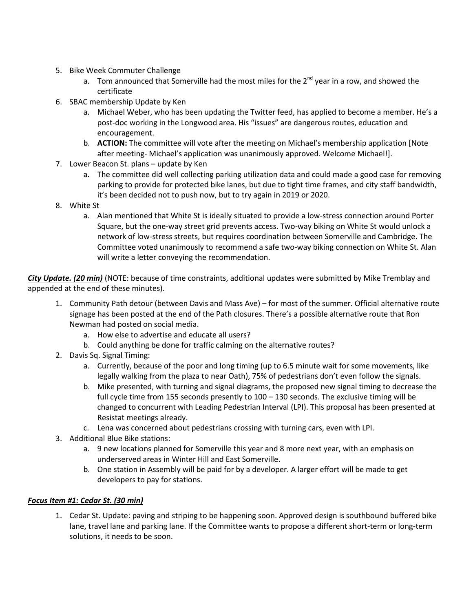- 5. Bike Week Commuter Challenge
	- a. Tom announced that Somerville had the most miles for the  $2^{nd}$  year in a row, and showed the certificate
- 6. SBAC membership Update by Ken
	- a. Michael Weber, who has been updating the Twitter feed, has applied to become a member. He's a post-doc working in the Longwood area. His "issues" are dangerous routes, education and encouragement.
	- b. **ACTION:** The committee will vote after the meeting on Michael's membership application [Note after meeting- Michael's application was unanimously approved. Welcome Michael!].
- 7. Lower Beacon St. plans update by Ken
	- a. The committee did well collecting parking utilization data and could made a good case for removing parking to provide for protected bike lanes, but due to tight time frames, and city staff bandwidth, it's been decided not to push now, but to try again in 2019 or 2020.
- 8. White St
	- a. Alan mentioned that White St is ideally situated to provide a low-stress connection around Porter Square, but the one-way street grid prevents access. Two-way biking on White St would unlock a network of low-stress streets, but requires coordination between Somerville and Cambridge. The Committee voted unanimously to recommend a safe two-way biking connection on White St. Alan will write a letter conveying the recommendation.

*City Update. (20 min)* (NOTE: because of time constraints, additional updates were submitted by Mike Tremblay and appended at the end of these minutes).

- 1. Community Path detour (between Davis and Mass Ave) for most of the summer. Official alternative route signage has been posted at the end of the Path closures. There's a possible alternative route that Ron Newman had posted on social media.
	- a. How else to advertise and educate all users?
	- b. Could anything be done for traffic calming on the alternative routes?
- 2. Davis Sq. Signal Timing:
	- a. Currently, because of the poor and long timing (up to 6.5 minute wait for some movements, like legally walking from the plaza to near Oath), 75% of pedestrians don't even follow the signals.
	- b. Mike presented, with turning and signal diagrams, the proposed new signal timing to decrease the full cycle time from 155 seconds presently to  $100 - 130$  seconds. The exclusive timing will be changed to concurrent with Leading Pedestrian Interval (LPI). This proposal has been presented at Resistat meetings already.
	- c. Lena was concerned about pedestrians crossing with turning cars, even with LPI.
- 3. Additional Blue Bike stations:
	- a. 9 new locations planned for Somerville this year and 8 more next year, with an emphasis on underserved areas in Winter Hill and East Somerville.
	- b. One station in Assembly will be paid for by a developer. A larger effort will be made to get developers to pay for stations.

#### *Focus Item #1: Cedar St. (30 min)*

1. Cedar St. Update: paving and striping to be happening soon. Approved design is southbound buffered bike lane, travel lane and parking lane. If the Committee wants to propose a different short-term or long-term solutions, it needs to be soon.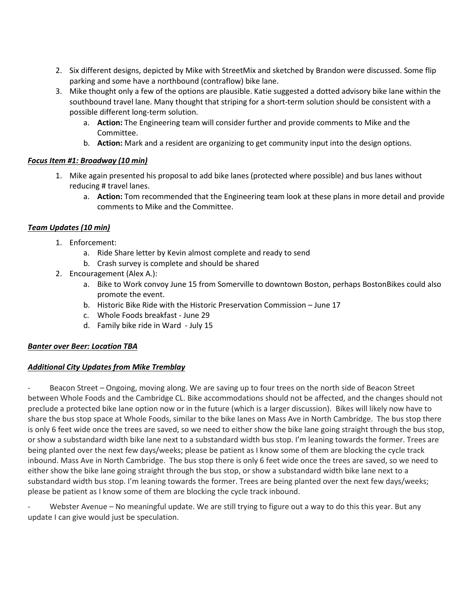- 2. Six different designs, depicted by Mike with StreetMix and sketched by Brandon were discussed. Some flip parking and some have a northbound (contraflow) bike lane.
- 3. Mike thought only a few of the options are plausible. Katie suggested a dotted advisory bike lane within the southbound travel lane. Many thought that striping for a short-term solution should be consistent with a possible different long-term solution.
	- a. **Action:** The Engineering team will consider further and provide comments to Mike and the Committee.
	- b. **Action:** Mark and a resident are organizing to get community input into the design options.

### *Focus Item #1: Broadway (10 min)*

- 1. Mike again presented his proposal to add bike lanes (protected where possible) and bus lanes without reducing # travel lanes.
	- a. **Action:** Tom recommended that the Engineering team look at these plans in more detail and provide comments to Mike and the Committee.

# *Team Updates (10 min)*

- 1. Enforcement:
	- a. Ride Share letter by Kevin almost complete and ready to send
	- b. Crash survey is complete and should be shared
- 2. Encouragement (Alex A.):
	- a. Bike to Work convoy June 15 from Somerville to downtown Boston, perhaps BostonBikes could also promote the event.
	- b. Historic Bike Ride with the Historic Preservation Commission June 17
	- c. Whole Foods breakfast June 29
	- d. Family bike ride in Ward July 15

#### *Banter over Beer: Location TBA*

#### *Additional City Updates from Mike Tremblay*

Beacon Street – Ongoing, moving along. We are saving up to four trees on the north side of Beacon Street between Whole Foods and the Cambridge CL. Bike accommodations should not be affected, and the changes should not preclude a protected bike lane option now or in the future (which is a larger discussion). Bikes will likely now have to share the bus stop space at Whole Foods, similar to the bike lanes on [Mass Ave in North Cambridge.](https://www.google.com/maps/@42.3960963,-71.1288633,3a,75y,142.18h,71.52t/data=!3m6!1e1!3m4!1sIx4d-U-5u7nwxhyDG_9CGw!2e0!7i13312!8i6656) The bus stop there is only 6 feet wide once the trees are saved, so we need to either show the bike lane going straight through the bus stop, or show a substandard width bike lane next to a substandard width bus stop. I'm leaning towards the former. Trees are being planted over the next few days/weeks; please be patient as I know some of them are blocking the cycle track inbound. Mass Ave in North Cambridge. The bus stop there is only 6 feet wide once the trees are saved, so we need to either show the bike lane going straight through the bus stop, or show a substandard width bike lane next to a substandard width bus stop. I'm leaning towards the former. Trees are being planted over the next few days/weeks; please be patient as I know some of them are blocking the cycle track inbound.

Webster Avenue – No meaningful update. We are still trying to figure out a way to do this this year. But any update I can give would just be speculation.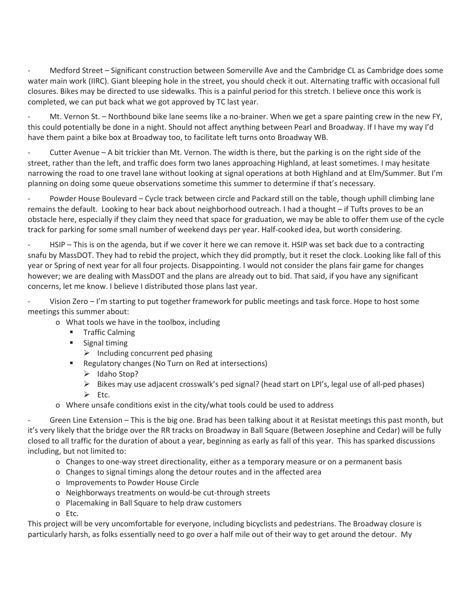Medford Street – Significant construction between Somerville Ave and the Cambridge CL as Cambridge does some water main work (IIRC). Giant bleeping hole in the street, you should check it out. Alternating traffic with occasional full closures. Bikes may be directed to use sidewalks. This is a painful period for this stretch. I believe once this work is completed, we can put back what we got approved by TC last year.

Mt. Vernon St. – Northbound bike lane seems like a no-brainer. When we get a spare painting crew in the new FY, this could potentially be done in a night. Should not affect anything between Pearl and Broadway. If I have my way I'd have them paint a bike box at Broadway too, to facilitate left turns onto Broadway WB.

Cutter Avenue – A bit trickier than Mt. Vernon. The width is there, but the parking is on the right side of the street, rather than the left, and traffic does form two lanes approaching Highland, at least sometimes. I may hesitate narrowing the road to one travel lane without looking at signal operations at both Highland and at Elm/Summer. But I'm planning on doing some queue observations sometime this summer to determine if that's necessary.

Powder House Boulevard – Cycle track between circle and Packard still on the table, though uphill climbing lane remains the default. Looking to hear back about neighborhood outreach. I had a thought – if Tufts proves to be an obstacle here, especially if they claim they need that space for graduation, we may be able to offer them use of the cycle track for parking for some small number of weekend days per year. Half-cooked idea, but worth considering.

HSIP – This is on the agenda, but if we cover it here we can remove it. HSIP was set back due to a contracting snafu by MassDOT. They had to rebid the project, which they did promptly, but it reset the clock. Looking like fall of this year or Spring of next year for all four projects. Disappointing. I would not consider the plans fair game for changes however; we are dealing with MassDOT and the plans are already out to bid. That said, if you have any significant concerns, let me know. I believe I distributed those plans last year.

Vision Zero – I'm starting to put together framework for public meetings and task force. Hope to host some meetings this summer about:

- o What tools we have in the toolbox, including
	- **Traffic Calming**
	- **Signal timing**

 $\triangleright$  Including concurrent ped phasing

- **Regulatory changes (No Turn on Red at intersections)** 
	- $\blacktriangleright$  Idaho Stop?
	- $\triangleright$  Bikes may use adjacent crosswalk's ped signal? (head start on LPI's, legal use of all-ped phases)
	- $\triangleright$  Etc.
- o Where unsafe conditions exist in the city/what tools could be used to address

Green Line Extension – This is the big one. Brad has been talking about it at Resistat meetings this past month, but it's very likely that the bridge over the RR tracks on Broadway in Ball Square (Between Josephine and Cedar) will be fully closed to all traffic for the duration of about a year, beginning as early as fall of this year. This has sparked discussions including, but not limited to:

- o Changes to one-way street directionality, either as a temporary measure or on a permanent basis
- o Changes to signal timings along the detour routes and in the affected area
- o Improvements to Powder House Circle
- o Neighborways treatments on would-be cut-through streets
- o Placemaking in Ball Square to help draw customers
- o Etc.

This project will be very uncomfortable for everyone, including bicyclists and pedestrians. The Broadway closure is particularly harsh, as folks essentially need to go over a half mile out of their way to get around the detour. My